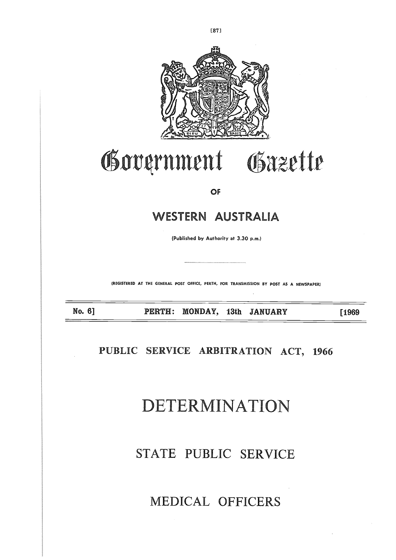

# Government Gazette

OF

### WESTERN AUSTRALIA

(Published by Authority at 3.30 p.m.)

**(REGISTERED AT THE GENERAL POST OFFICE, PERTH, FOR TRANSMISSION BY POST AS A NEWSPAPER)**

**No. 6] PERTH: MONDAY, 13th JANUARY [1969**

**PUBLIC SERVICE ARBITRATION ACT, 1966**

# DETERMINATION

# STATE PUBLIC SERVICE

## MEDICAL OFFICERS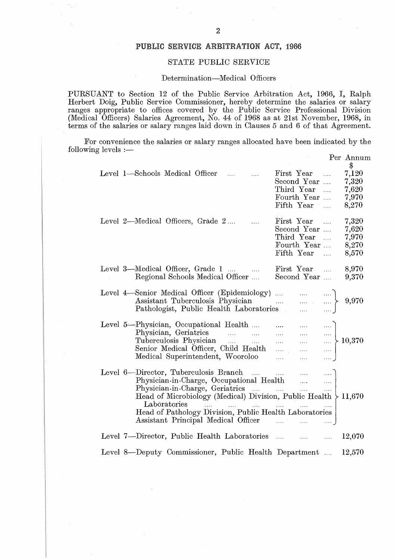#### **PUBLIC SERVICE ARBITRATION ACT, 1966**

#### STATE PUBLIC SERVICE

#### Determination—Medical Officers

Per Annum

|                          |                                                       | $\overline{2}$                                                                                                                                                                                                                                                                                                                                                                                                                       |          |                                                                      |                                                                      |                                               |
|--------------------------|-------------------------------------------------------|--------------------------------------------------------------------------------------------------------------------------------------------------------------------------------------------------------------------------------------------------------------------------------------------------------------------------------------------------------------------------------------------------------------------------------------|----------|----------------------------------------------------------------------|----------------------------------------------------------------------|-----------------------------------------------|
|                          |                                                       | PUBLIC SERVICE ARBITRATION ACT, 1966                                                                                                                                                                                                                                                                                                                                                                                                 |          |                                                                      |                                                                      |                                               |
|                          |                                                       | STATE PUBLIC SERVICE                                                                                                                                                                                                                                                                                                                                                                                                                 |          |                                                                      |                                                                      |                                               |
|                          |                                                       | Determination—Medical Officers                                                                                                                                                                                                                                                                                                                                                                                                       |          |                                                                      |                                                                      |                                               |
|                          |                                                       | PURSUANT to Section 12 of the Public Service Arbitration Act, 1966, I, Ralp<br>Herbert Doig, Public Service Commissioner, hereby determine the salaries or salar<br>ranges appropriate to offices covered by the Public Service Professional Division<br>(Medical Officers) Salaries Agreement, No. 44 of 1968 as at 21st November, 1968, i<br>terms of the salaries or salary ranges laid down in Clauses 5 and 6 of that Agreement |          |                                                                      |                                                                      |                                               |
| following levels $:$ $-$ |                                                       | For convenience the salaries or salary ranges allocated have been indicated by the                                                                                                                                                                                                                                                                                                                                                   |          |                                                                      |                                                                      | Per Annur                                     |
|                          |                                                       | Level 1—Schools Medical Officer                                                                                                                                                                                                                                                                                                                                                                                                      | $\ldots$ | First Year<br>Second Year<br>Third Year<br>Fourth Year<br>Fifth Year | $\ldots$                                                             | $7{,}120$<br>7,320<br>7,620<br>7,970<br>8,270 |
|                          |                                                       | Level 2—Medical Officers, Grade 2                                                                                                                                                                                                                                                                                                                                                                                                    |          | First Year<br>Second Year<br>Third Year<br>Fourth Year<br>Fifth Year |                                                                      | 7,320<br>7,620<br>7,970<br>8,270<br>8,570     |
|                          |                                                       | Level 3—Medical Officer, Grade 1<br>Regional Schools Medical Officer                                                                                                                                                                                                                                                                                                                                                                 |          | First Year<br>Second Year                                            |                                                                      | 8,970<br>9,370                                |
|                          |                                                       | $\begin{tabular}{ll} Level 4—Senior Medical Officer (Epidemiology) &  &  & \\ \hline Assistant Tuberculosis Physical\\ Pathologist, Public Health Laboratories &  &  \\ \hline \end{tabular}$                                                                                                                                                                                                                                        |          |                                                                      |                                                                      | 9,970                                         |
|                          |                                                       | Level 5—Physician, Occupational Health<br>Physician, Occupational riearch<br>Physician, Geriatrics<br>Tuberculosis Physician<br>Senior Medical Officer, Child Health<br>Medical Superintendent, Wooroloo                                                                                                                                                                                                                             |          | $\mathcal{L}_{\text{max}}$ .<br>$\sim 100$                           | $\ldots$ .<br>$\ldots$ .<br>$\langle \ldots \rangle$<br>$\mathbb{R}$ | $\Big\} 10,370$                               |
|                          |                                                       | Level 6—Director, Tuberculosis Branch<br>Physician-in-Charge, Occupational Health<br>Physician-in-Charge, Geriatrics<br>Head of Microbiology (Medical) Division, Public Health $\backslash$ 11,670<br>Laboratories and the same continuous<br>Head of Pathology Division, Public Health Laboratories                                                                                                                                 |          |                                                                      | $\ldots$<br>$\mathcal{L}$<br>$\ldots$ .<br>$\ldots$ .                |                                               |
|                          |                                                       | Level 7—Director, Public Health Laboratories                                                                                                                                                                                                                                                                                                                                                                                         |          |                                                                      |                                                                      | 12,070                                        |
|                          | Level 8—Deputy Commissioner, Public Health Department |                                                                                                                                                                                                                                                                                                                                                                                                                                      |          |                                                                      |                                                                      | 12,570                                        |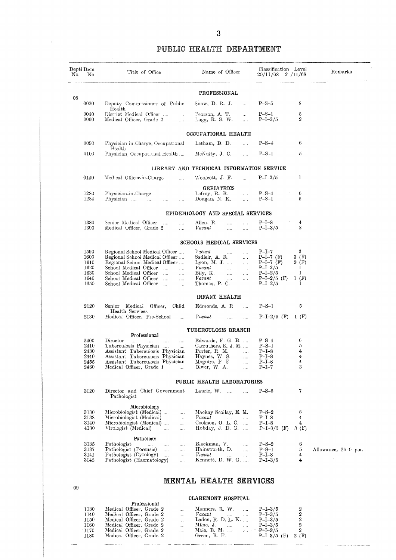#### PUBLIC HEALTH **DEPARTMENT**

|     |                           |                                                                                                                  | 3                                                                          |                                           |                                 |                               |
|-----|---------------------------|------------------------------------------------------------------------------------------------------------------|----------------------------------------------------------------------------|-------------------------------------------|---------------------------------|-------------------------------|
|     |                           |                                                                                                                  | PUBLIC HEALTH DEPARTMENT                                                   |                                           |                                 |                               |
| No. | ${\rm Deptl}$ Item<br>No. | Title of Office                                                                                                  | Name of Officer                                                            | Classification Level<br>20/11/68 21/11/68 |                                 | Remarks                       |
|     |                           |                                                                                                                  | <b>PROFESSIONAL</b>                                                        |                                           |                                 |                               |
| 08  | 0020                      | Deputy Commissioner of Public                                                                                    | Snow, $D$ R. J.<br>$\sim$                                                  | $P-S-5$                                   | 8                               |                               |
|     | 0040<br>0060              | Health<br>District Medical Officer<br>$\ddotsc$<br>Medical Officer, Grade 2<br>$\mathbf{L}$                      | Pearson, A. T.<br>$\cdots$<br>Lugg, R. S. W.<br>$\mathcal{L}_{\text{max}}$ | $P-S-1$<br>$P-I-3/5$                      | 5<br>$\overline{2}$             |                               |
|     |                           |                                                                                                                  | OCCUPATIONAL HEALTH                                                        |                                           |                                 |                               |
|     | 0090                      | Physician-in-Charge, Occupational                                                                                | Letham, D. D.<br>$\cdots$                                                  | $P-S-4$                                   | 6                               |                               |
|     | 0100                      | Health<br>Physician. Occupational Health                                                                         | McNulty, J. C.<br>$\cdots$                                                 | $P-S-I$                                   | 5                               |                               |
|     |                           |                                                                                                                  | LIBRARY AND TECHNICAL INFORMATION SERVICE                                  |                                           |                                 |                               |
|     | 0140                      | Medical Officer-in-Charge<br>$\cdots$                                                                            | Woolcott, J. F.<br>$\cdots$                                                | $P-I-2/5$                                 | 1                               |                               |
|     |                           |                                                                                                                  | <b>GERIATRICS</b>                                                          |                                           |                                 |                               |
|     | 1280<br>1284              | Physician-in-Charge<br>$\cdots$<br>$\ldots$ .<br>Physician<br>$\sim$ 1000<br>$\cdots$<br>$\cdots$                | Lefroy, R. B.<br>$\ldots$<br>Dougan, N. K.<br>$\cdots$                     | $P-S-4$<br>$P-S-I$                        | 6<br>5                          |                               |
|     |                           |                                                                                                                  | EPIDEMIOLOGY AND SPECIAL SERVICES                                          |                                           |                                 |                               |
|     | 1380<br>1390              | Senior Medical Officer<br>$\ldots$<br>$\cdots$<br>Medical Officer, Grade 2<br>$\cdots$                           | Allen, R.<br>$\cdots$<br>$\cdots$<br>Vacant<br>$\cdots$<br>$\cdots$        | $P-I-8$<br>$P-I-3/5$                      | 4<br>$\overline{2}$             |                               |
|     |                           |                                                                                                                  | SCHOOLS MEDICAL SERVICES                                                   |                                           |                                 |                               |
|     | 1590                      | Regional School Medical Officer                                                                                  | Vacant<br>$\cdots$<br>$\ddotsc$                                            | $P-I-7$                                   | 3                               |                               |
|     | 1600<br>1610              | Regional School Medical Officer<br>Regional School Medical Officer                                               | Sadleir, A. R.<br>$\cdots$<br>Lyon, M. J. $\dots$<br>$\cdots$              | $P-I-7$ (F)<br>$P-I-7$ (F)                | 3(F)<br>3(F)                    |                               |
|     | 1620<br>1630              | School Medical Officer<br>$\sim$<br>$\cdots$<br>School Medical Officer<br>$\mathcal{L}_{\text{max}}$<br>$\cdots$ | Vacant<br>$\ldots$<br>$\cdots$<br>Bily, K.<br>$\cdots$<br>$\cdots$         | $P-I-2/5$<br>$P-I-2/5$                    | I.<br>1                         |                               |
|     | 1640<br>1650              | School Medical Officer<br>$\cdots$<br>$\cdots$<br>School Medical Officer<br>$\cdots$<br>$\cdots$                 | Vacant<br>$\cdots$<br>$\cdots$<br>Thomas, P. C.<br>$\cdots$                | $P-I-2/5$ (F)<br>$P-I-2/5$                | 1(F)<br>I                       |                               |
|     |                           |                                                                                                                  | INFANT HEALTH                                                              |                                           |                                 |                               |
|     | 2120                      | Senior Medical Officer, Child                                                                                    | Edmonds, A. R.                                                             | $P-S-1$                                   | 5                               |                               |
|     | 2130                      | Health Services<br>Medical Officer, Pre-School                                                                   | Vacant<br>$\mathbf{1}$<br>$\sim$                                           | P-I-2/5 (F) 1 (F)                         |                                 |                               |
|     |                           |                                                                                                                  | <b>TUBERCULOSIS BRANCH</b>                                                 |                                           |                                 |                               |
|     | 2400                      | Professional<br>Director<br>$\ldots$ . The set of $\ldots$<br>$\sim$                                             | Edwards, F. G. B.                                                          | $P-S-4$                                   | 6                               |                               |
|     | 2410<br>2430              | Tuberculosis Physician<br>Assistant Tuberculosis Physician                                                       | Carruthers, K. J. M<br>Porter, R. M.                                       | $P-S-1$<br>$P-I-8$                        | $\rm 5$<br>4                    |                               |
|     | 2440<br>2455              | Assistant Tuberculosis Physician<br>Assistant Tuberculosis Physician                                             | Haynes, W. S.<br>$\ldots$<br>Maguire, P. F.<br>$\sim$                      | $P-I-8$<br>$P-I-8$                        | $\boldsymbol{4}$<br>4           |                               |
|     | 2460                      | Medical Officer, Grade 1                                                                                         | Olwer, W. A.<br>$\ddotsc$                                                  | $P-I-7$                                   | 3                               |                               |
|     |                           |                                                                                                                  | PUBLIC HEALTH LABORATORIES                                                 |                                           |                                 |                               |
|     | 3120                      | Director and Chief Government<br>Pathologist                                                                     | Laurie, $W$ .                                                              | $P-S-5$                                   | 7                               |                               |
|     |                           | Microbiology                                                                                                     |                                                                            |                                           |                                 |                               |
|     | 3130<br>3138              | Microbiologist (Medical)<br>$\ldots$<br>Microbiologist (Medical)<br>$\ddotsc$                                    | Mackay Scollay, E. M.<br>$Vacant$                                          | $P-S-2$<br>$\mbox{P\small{-}I\small{-}8}$ | 6<br>4                          |                               |
|     | 3140<br>4130              | Microbiologist (Medical)<br>$\mathbf{r}$<br>Virologist (Medical)<br>$\sim$ $\sim$<br>$\ldots$                    | Cookson, $O. L. C. $<br>Hobday, J. D. G.                                   | $P-I-8$<br>$P-I-3/5$ (F)                  | 4<br>3(F)                       |                               |
|     |                           | Pathology                                                                                                        |                                                                            |                                           |                                 |                               |
|     | 3135<br>3137              | Pathologist<br>$\ldots$<br><b>Contractor</b><br>$\cdots$<br>Pathologist (Forensic)<br><b>Allen</b><br>$\cdots$   | Blackman, V.<br>Hainsworth, D.                                             | $P-S-2$<br>$P-S-I$                        | 6<br>$\rm 5$                    | Allowance, $$5^\circ 0$$ p.a. |
|     | 3141<br>3142              | Pathologist (Cytology)<br>$\ldots$<br>Pathologist (Haematology)<br>$\sim$                                        | $Vacant$<br>Kennett, D. W. G.                                              | $P-I-8$<br>$P-I-3/5$                      | 4<br>$\overline{4}$             | $\sim$ $\sim$                 |
| 09  |                           |                                                                                                                  | <b>MENTAL HEALTH SERVICES</b>                                              |                                           |                                 |                               |
|     |                           |                                                                                                                  | <b>CLAREMONT HOSPITAL</b>                                                  |                                           |                                 |                               |
|     | 1130                      | Professional<br>Medical Officer, Grade 2<br>$\ldots$                                                             | Manners, R. W.<br>$\sim 100$                                               | $P-I-3/5$                                 | $\boldsymbol{2}$                |                               |
|     | 1140<br>1150<br>1160      | Medical Officer, Grade 2<br>$\ldots$<br>Medical Officer, Grade 2<br>$\mathbf{r}$<br>Medical Officer. Grade 2     | Vacant<br>Laden, R. D. L. K.<br>Milne. J.                                  | $P-I-3/5$<br>$P-I-3/5$<br>$P-I-3/5$       | $\frac{2}{2}$<br>$\mathfrak{D}$ |                               |

#### **CLAREMONT HOSPITAL**

للمنافر المتعاملة

|       | Professional             |             |                                 |                      |               |      |
|-------|--------------------------|-------------|---------------------------------|----------------------|---------------|------|
| 1130  | Medical Officer, Grade 2 | $\cdots$    | Manners, R. W.                  |                      | $P-I-3/5$     | 2    |
| 1140  | Medical Officer, Grade 2 | $\cdots$    | Vacant<br><b>Contractor</b>     | $\sim$               | $P-I-3/5$     | 2    |
| 1150  | Medical Officer, Grade 2 | $\cdots$    | Laden, R. D. L. K.              |                      | $P-I-3/5$     | 2    |
| 1160  | Medical Officer, Grade 2 | <b>SALE</b> | Milne. J.<br>and a state of the | $\sim$               | $P-I-3/5$     |      |
| -1170 | Medical Officer, Grade 2 | $\cdots$    | Male, B. M. $\ldots$ P=I-3/5    |                      |               | 2    |
| 1180  | Medical Officer, Grade 2 | $\ddotsc$   | Green, B. F.                    | $\sim$ $\sim$ $\sim$ | $P-I-3/5$ (F) | 2(F) |

 $\bar{\lambda}$